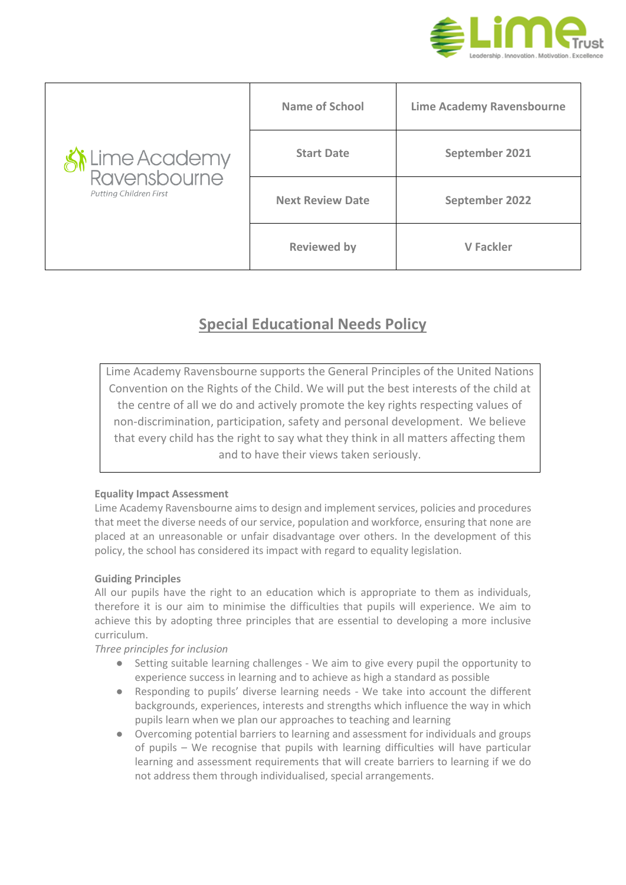

| it Lime Academy<br>Ravensbourne<br><b>Putting Children First</b> | Name of School          | <b>Lime Academy Ravensbourne</b> |
|------------------------------------------------------------------|-------------------------|----------------------------------|
|                                                                  | <b>Start Date</b>       | September 2021                   |
|                                                                  | <b>Next Review Date</b> | September 2022                   |
|                                                                  | <b>Reviewed by</b>      | <b>V</b> Fackler                 |

# **Special Educational Needs Policy**

Lime Academy Ravensbourne supports the General Principles of the United Nations Convention on the Rights of the Child. We will put the best interests of the child at the centre of all we do and actively promote the key rights respecting values of non-discrimination, participation, safety and personal development. We believe that every child has the right to say what they think in all matters affecting them and to have their views taken seriously.

# **Equality Impact Assessment**

Lime Academy Ravensbourne aims to design and implement services, policies and procedures that meet the diverse needs of our service, population and workforce, ensuring that none are placed at an unreasonable or unfair disadvantage over others. In the development of this policy, the school has considered its impact with regard to equality legislation.

# **Guiding Principles**

All our pupils have the right to an education which is appropriate to them as individuals, therefore it is our aim to minimise the difficulties that pupils will experience. We aim to achieve this by adopting three principles that are essential to developing a more inclusive curriculum.

## *Three principles for inclusion*

- Setting suitable learning challenges We aim to give every pupil the opportunity to experience success in learning and to achieve as high a standard as possible
- Responding to pupils' diverse learning needs We take into account the different backgrounds, experiences, interests and strengths which influence the way in which pupils learn when we plan our approaches to teaching and learning
- Overcoming potential barriers to learning and assessment for individuals and groups of pupils – We recognise that pupils with learning difficulties will have particular learning and assessment requirements that will create barriers to learning if we do not address them through individualised, special arrangements.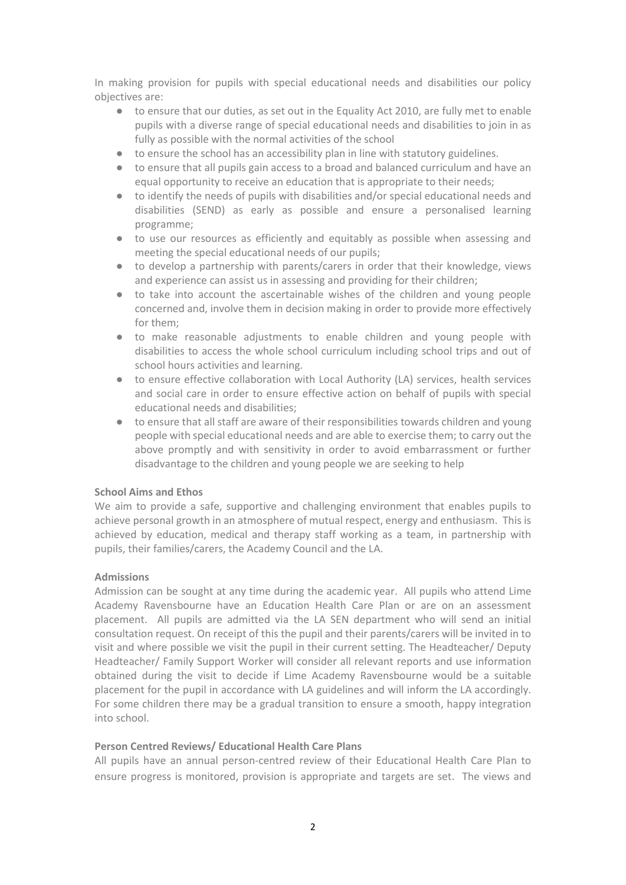In making provision for pupils with special educational needs and disabilities our policy objectives are:

- to ensure that our duties, as set out in the Equality Act 2010, are fully met to enable pupils with a diverse range of special educational needs and disabilities to join in as fully as possible with the normal activities of the school
- to ensure the school has an accessibility plan in line with statutory guidelines.
- to ensure that all pupils gain access to a broad and balanced curriculum and have an equal opportunity to receive an education that is appropriate to their needs;
- to identify the needs of pupils with disabilities and/or special educational needs and disabilities (SEND) as early as possible and ensure a personalised learning programme;
- to use our resources as efficiently and equitably as possible when assessing and meeting the special educational needs of our pupils;
- to develop a partnership with parents/carers in order that their knowledge, views and experience can assist us in assessing and providing for their children;
- to take into account the ascertainable wishes of the children and young people concerned and, involve them in decision making in order to provide more effectively for them;
- to make reasonable adjustments to enable children and young people with disabilities to access the whole school curriculum including school trips and out of school hours activities and learning.
- to ensure effective collaboration with Local Authority (LA) services, health services and social care in order to ensure effective action on behalf of pupils with special educational needs and disabilities;
- to ensure that all staff are aware of their responsibilities towards children and young people with special educational needs and are able to exercise them; to carry out the above promptly and with sensitivity in order to avoid embarrassment or further disadvantage to the children and young people we are seeking to help

## **School Aims and Ethos**

We aim to provide a safe, supportive and challenging environment that enables pupils to achieve personal growth in an atmosphere of mutual respect, energy and enthusiasm. This is achieved by education, medical and therapy staff working as a team, in partnership with pupils, their families/carers, the Academy Council and the LA.

## **Admissions**

Admission can be sought at any time during the academic year. All pupils who attend Lime Academy Ravensbourne have an Education Health Care Plan or are on an assessment placement. All pupils are admitted via the LA SEN department who will send an initial consultation request. On receipt of this the pupil and their parents/carers will be invited in to visit and where possible we visit the pupil in their current setting. The Headteacher/ Deputy Headteacher/ Family Support Worker will consider all relevant reports and use information obtained during the visit to decide if Lime Academy Ravensbourne would be a suitable placement for the pupil in accordance with LA guidelines and will inform the LA accordingly. For some children there may be a gradual transition to ensure a smooth, happy integration into school.

## **Person Centred Reviews/ Educational Health Care Plans**

All pupils have an annual person-centred review of their Educational Health Care Plan to ensure progress is monitored, provision is appropriate and targets are set. The views and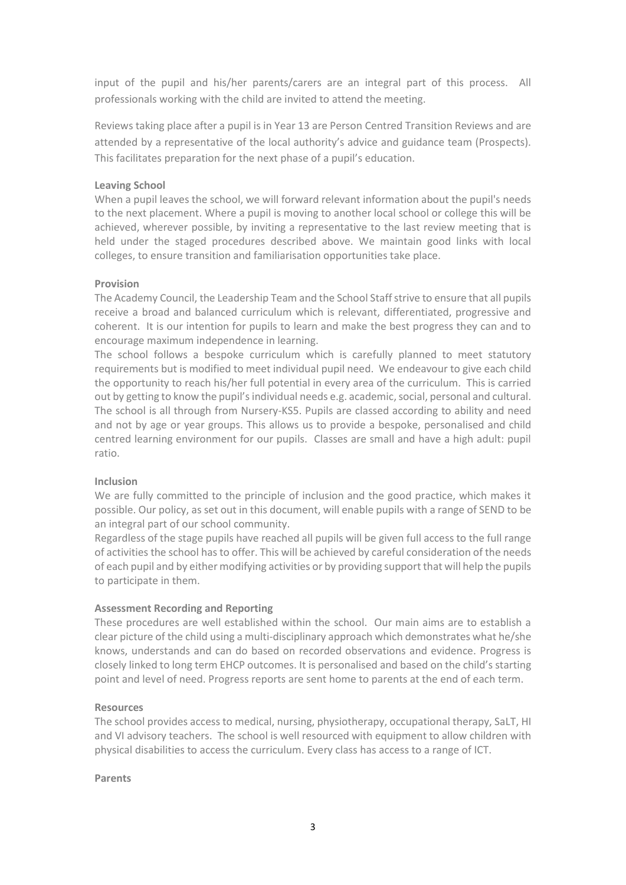input of the pupil and his/her parents/carers are an integral part of this process. All professionals working with the child are invited to attend the meeting.

Reviews taking place after a pupil is in Year 13 are Person Centred Transition Reviews and are attended by a representative of the local authority's advice and guidance team (Prospects). This facilitates preparation for the next phase of a pupil's education.

## **Leaving School**

When a pupil leaves the school, we will forward relevant information about the pupil's needs to the next placement. Where a pupil is moving to another local school or college this will be achieved, wherever possible, by inviting a representative to the last review meeting that is held under the staged procedures described above. We maintain good links with local colleges, to ensure transition and familiarisation opportunities take place.

## **Provision**

The Academy Council, the Leadership Team and the School Staff strive to ensure that all pupils receive a broad and balanced curriculum which is relevant, differentiated, progressive and coherent. It is our intention for pupils to learn and make the best progress they can and to encourage maximum independence in learning.

The school follows a bespoke curriculum which is carefully planned to meet statutory requirements but is modified to meet individual pupil need. We endeavour to give each child the opportunity to reach his/her full potential in every area of the curriculum. This is carried out by getting to know the pupil's individual needs e.g. academic, social, personal and cultural. The school is all through from Nursery-KS5. Pupils are classed according to ability and need and not by age or year groups. This allows us to provide a bespoke, personalised and child centred learning environment for our pupils. Classes are small and have a high adult: pupil ratio.

# **Inclusion**

We are fully committed to the principle of inclusion and the good practice, which makes it possible. Our policy, as set out in this document, will enable pupils with a range of SEND to be an integral part of our school community.

Regardless of the stage pupils have reached all pupils will be given full access to the full range of activities the school has to offer. This will be achieved by careful consideration of the needs of each pupil and by either modifying activities or by providing support that will help the pupils to participate in them.

# **Assessment Recording and Reporting**

These procedures are well established within the school. Our main aims are to establish a clear picture of the child using a multi-disciplinary approach which demonstrates what he/she knows, understands and can do based on recorded observations and evidence. Progress is closely linked to long term EHCP outcomes. It is personalised and based on the child's starting point and level of need. Progress reports are sent home to parents at the end of each term.

## **Resources**

The school provides access to medical, nursing, physiotherapy, occupational therapy, SaLT, HI and VI advisory teachers. The school is well resourced with equipment to allow children with physical disabilities to access the curriculum. Every class has access to a range of ICT.

## **Parents**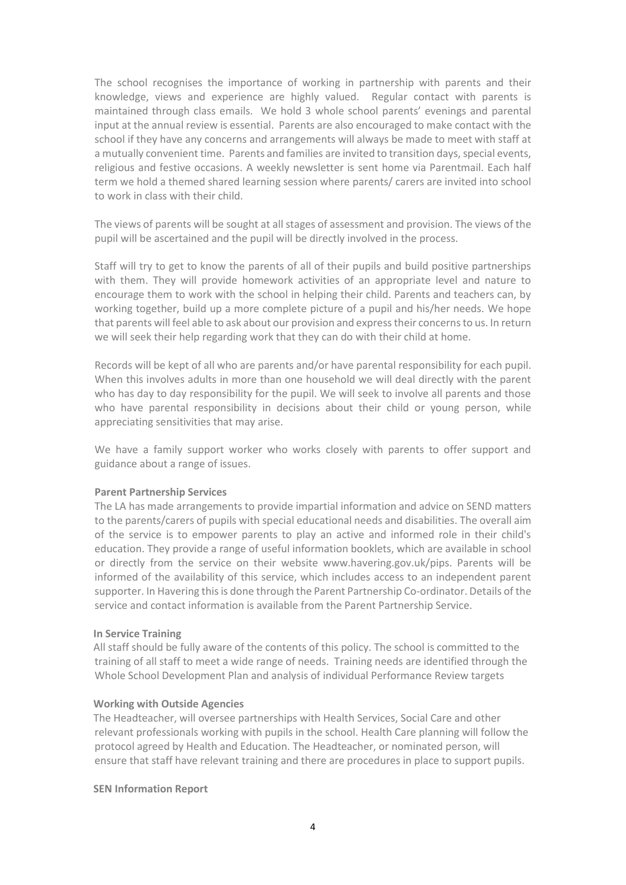The school recognises the importance of working in partnership with parents and their knowledge, views and experience are highly valued. Regular contact with parents is maintained through class emails. We hold 3 whole school parents' evenings and parental input at the annual review is essential. Parents are also encouraged to make contact with the school if they have any concerns and arrangements will always be made to meet with staff at a mutually convenient time. Parents and families are invited to transition days, special events, religious and festive occasions. A weekly newsletter is sent home via Parentmail. Each half term we hold a themed shared learning session where parents/ carers are invited into school to work in class with their child.

The views of parents will be sought at all stages of assessment and provision. The views of the pupil will be ascertained and the pupil will be directly involved in the process.

Staff will try to get to know the parents of all of their pupils and build positive partnerships with them. They will provide homework activities of an appropriate level and nature to encourage them to work with the school in helping their child. Parents and teachers can, by working together, build up a more complete picture of a pupil and his/her needs. We hope that parents will feel able to ask about our provision and express their concerns to us. In return we will seek their help regarding work that they can do with their child at home.

Records will be kept of all who are parents and/or have parental responsibility for each pupil. When this involves adults in more than one household we will deal directly with the parent who has day to day responsibility for the pupil. We will seek to involve all parents and those who have parental responsibility in decisions about their child or young person, while appreciating sensitivities that may arise.

We have a family support worker who works closely with parents to offer support and guidance about a range of issues.

#### **Parent Partnership Services**

The LA has made arrangements to provide impartial information and advice on SEND matters to the parents/carers of pupils with special educational needs and disabilities. The overall aim of the service is to empower parents to play an active and informed role in their child's education. They provide a range of useful information booklets, which are available in school or directly from the service on their website www.havering.gov.uk/pips. Parents will be informed of the availability of this service, which includes access to an independent parent supporter. In Havering this is done through the Parent Partnership Co-ordinator. Details of the service and contact information is available from the Parent Partnership Service.

## **In Service Training**

 All staff should be fully aware of the contents of this policy. The school is committed to the training of all staff to meet a wide range of needs. Training needs are identified through the Whole School Development Plan and analysis of individual Performance Review targets

#### **Working with Outside Agencies**

 The Headteacher, will oversee partnerships with Health Services, Social Care and other relevant professionals working with pupils in the school. Health Care planning will follow the protocol agreed by Health and Education. The Headteacher, or nominated person, will ensure that staff have relevant training and there are procedures in place to support pupils.

## **SEN Information Report**